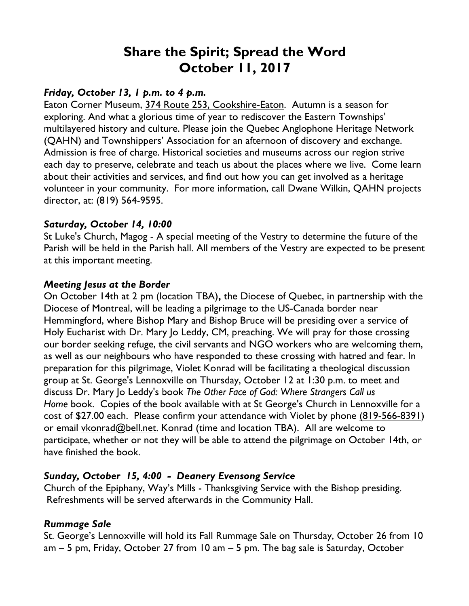# **Share the Spirit; Spread the Word October 11, 2017**

## *Friday, October 13, 1 p.m. to 4 p.m.*

Eaton Corner Museum, 374 Route 253, Cookshire-Eaton. Autumn is a season for exploring. And what a glorious time of year to rediscover the Eastern Townships' multilayered history and culture. Please join the Quebec Anglophone Heritage Network (QAHN) and Townshippers' Association for an afternoon of discovery and exchange. Admission is free of charge. Historical societies and museums across our region strive each day to preserve, celebrate and teach us about the places where we live. Come learn about their activities and services, and find out how you can get involved as a heritage volunteer in your community. For more information, call Dwane Wilkin, QAHN projects director, at: (819) 564-9595.

#### *Saturday, October 14, 10:00*

St Luke's Church, Magog - A special meeting of the Vestry to determine the future of the Parish will be held in the Parish hall. All members of the Vestry are expected to be present at this important meeting.

#### *Meeting Jesus at the Border*

On October 14th at 2 pm (location TBA)**,** the Diocese of Quebec, in partnership with the Diocese of Montreal, will be leading a pilgrimage to the US-Canada border near Hemmingford, where Bishop Mary and Bishop Bruce will be presiding over a service of Holy Eucharist with Dr. Mary Jo Leddy, CM, preaching. We will pray for those crossing our border seeking refuge, the civil servants and NGO workers who are welcoming them, as well as our neighbours who have responded to these crossing with hatred and fear. In preparation for this pilgrimage, Violet Konrad will be facilitating a theological discussion group at St. George's Lennoxville on Thursday, October 12 at 1:30 p.m. to meet and discuss Dr. Mary Jo Leddy's book *The Other Face of God: Where Strangers Call us Home* book. Copies of the book available with at St George's Church in Lennoxville for a cost of \$27.00 each. Please confirm your attendance with Violet by phone (819-566-8391) or email vkonrad@bell.net. Konrad (time and location TBA). All are welcome to participate, whether or not they will be able to attend the pilgrimage on October 14th, or have finished the book.

## *Sunday, October 15, 4:00 - Deanery Evensong Service*

Church of the Epiphany, Way's Mills - Thanksgiving Service with the Bishop presiding. Refreshments will be served afterwards in the Community Hall.

## *Rummage Sale*

St. George's Lennoxville will hold its Fall Rummage Sale on Thursday, October 26 from 10 am – 5 pm, Friday, October 27 from 10 am – 5 pm. The bag sale is Saturday, October